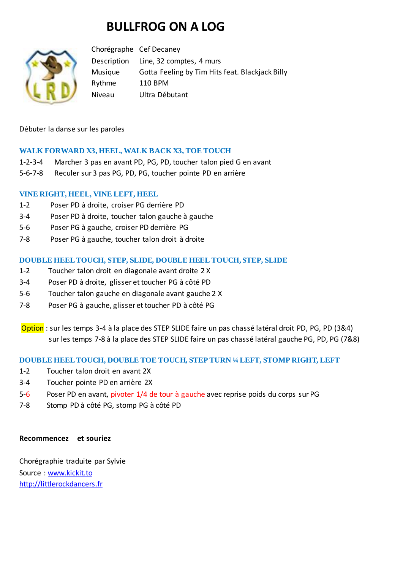# **BULLFROG ON A LOG**



Chorégraphe Cef Decaney Description Line, 32 comptes, 4 murs Musique Gotta Feeling by Tim Hits feat. Blackjack Billy Rythme 110 BPM Niveau Ultra Débutant

Débuter la danse sur les paroles

## **WALK FORWARD X3, HEEL, WALK BACK X3, TOE TOUCH**

- 1-2-3-4 Marcher 3 pas en avant PD, PG, PD, toucher talon pied G en avant
- 5-6-7-8 Reculer sur 3 pas PG, PD, PG, toucher pointe PD en arrière

## **VINE RIGHT, HEEL, VINE LEFT, HEEL**

- 1-2 Poser PD à droite, croiser PG derrière PD
- 3-4 Poser PD à droite, toucher talon gauche à gauche
- 5-6 Poser PG à gauche, croiser PD derrière PG
- 7-8 Poser PG à gauche, toucher talon droit à droite

#### **DOUBLE HEEL TOUCH, STEP, SLIDE, DOUBLE HEEL TOUCH, STEP, SLIDE**

- 1-2 Toucher talon droit en diagonale avant droite 2 X
- 3-4 Poser PD à droite, glisser et toucher PG à côté PD
- 5-6 Toucher talon gauche en diagonale avant gauche 2 X
- 7-8 Poser PG à gauche, glisser et toucher PD à côté PG
- Option : sur les temps 3-4 à la place des STEP SLIDE faire un pas chassé latéral droit PD, PG, PD (3&4) sur les temps 7-8 à la place des STEP SLIDE faire un pas chassé latéral gauche PG, PD, PG (7&8)

## **DOUBLE HEEL TOUCH, DOUBLE TOE TOUCH, STEP TURN ¼ LEFT, STOMP RIGHT, LEFT**

- 1-2 Toucher talon droit en avant 2X
- 3-4 Toucher pointe PD en arrière 2X
- 5-6 Poser PD en avant, pivoter 1/4 de tour à gauche avec reprise poids du corps sur PG
- 7-8 Stomp PD à côté PG, stomp PG à côté PD

#### **Recommencez et souriez**

Chorégraphie traduite par Sylvie Source : [www.kickit.to](http://www.kickit.to/) [http://littlerockdancers.fr](http://littlerockdancers.fr/)